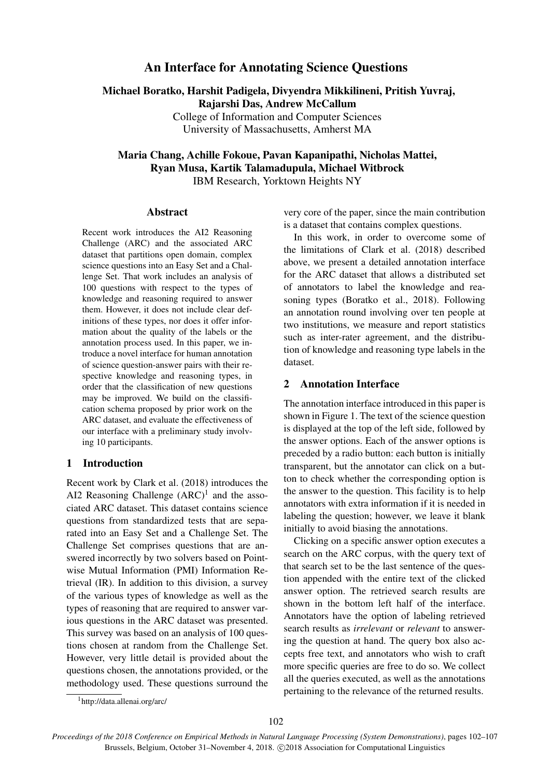# An Interface for Annotating Science Questions

Michael Boratko, Harshit Padigela, Divyendra Mikkilineni, Pritish Yuvraj, Rajarshi Das, Andrew McCallum College of Information and Computer Sciences

University of Massachusetts, Amherst MA

# Maria Chang, Achille Fokoue, Pavan Kapanipathi, Nicholas Mattei, Ryan Musa, Kartik Talamadupula, Michael Witbrock IBM Research, Yorktown Heights NY

#### Abstract

Recent work introduces the AI2 Reasoning Challenge (ARC) and the associated ARC dataset that partitions open domain, complex science questions into an Easy Set and a Challenge Set. That work includes an analysis of 100 questions with respect to the types of knowledge and reasoning required to answer them. However, it does not include clear definitions of these types, nor does it offer information about the quality of the labels or the annotation process used. In this paper, we introduce a novel interface for human annotation of science question-answer pairs with their respective knowledge and reasoning types, in order that the classification of new questions may be improved. We build on the classification schema proposed by prior work on the ARC dataset, and evaluate the effectiveness of our interface with a preliminary study involving 10 participants.

# 1 Introduction

Recent work by Clark et al. (2018) introduces the AI2 Reasoning Challenge  $(ARC)^1$  and the associated ARC dataset. This dataset contains science questions from standardized tests that are separated into an Easy Set and a Challenge Set. The Challenge Set comprises questions that are answered incorrectly by two solvers based on Pointwise Mutual Information (PMI) Information Retrieval (IR). In addition to this division, a survey of the various types of knowledge as well as the types of reasoning that are required to answer various questions in the ARC dataset was presented. This survey was based on an analysis of 100 questions chosen at random from the Challenge Set. However, very little detail is provided about the questions chosen, the annotations provided, or the methodology used. These questions surround the very core of the paper, since the main contribution is a dataset that contains complex questions.

In this work, in order to overcome some of the limitations of Clark et al. (2018) described above, we present a detailed annotation interface for the ARC dataset that allows a distributed set of annotators to label the knowledge and reasoning types (Boratko et al., 2018). Following an annotation round involving over ten people at two institutions, we measure and report statistics such as inter-rater agreement, and the distribution of knowledge and reasoning type labels in the dataset.

# 2 Annotation Interface

The annotation interface introduced in this paper is shown in Figure 1. The text of the science question is displayed at the top of the left side, followed by the answer options. Each of the answer options is preceded by a radio button: each button is initially transparent, but the annotator can click on a button to check whether the corresponding option is the answer to the question. This facility is to help annotators with extra information if it is needed in labeling the question; however, we leave it blank initially to avoid biasing the annotations.

Clicking on a specific answer option executes a search on the ARC corpus, with the query text of that search set to be the last sentence of the question appended with the entire text of the clicked answer option. The retrieved search results are shown in the bottom left half of the interface. Annotators have the option of labeling retrieved search results as *irrelevant* or *relevant* to answering the question at hand. The query box also accepts free text, and annotators who wish to craft more specific queries are free to do so. We collect all the queries executed, as well as the annotations pertaining to the relevance of the returned results.

<sup>1</sup>http://data.allenai.org/arc/

*Proceedings of the 2018 Conference on Empirical Methods in Natural Language Processing (System Demonstrations)*, pages 102–107 Brussels, Belgium, October 31-November 4, 2018.  $\odot$ 2018 Association for Computational Linguistics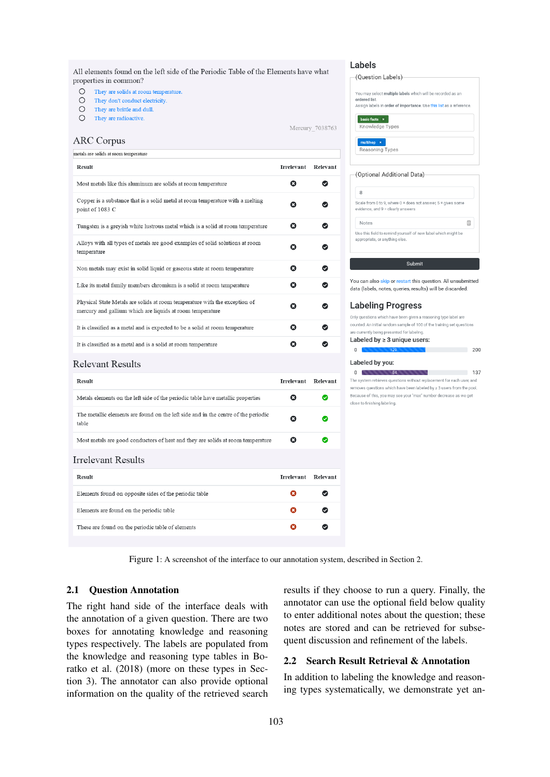All elements found on the left side of the Periodic Table of the Elements have what properties in common?

- $\circ$ They are solids at room temperature.
- $\circ$ They don't conduct electricity.
- $\circ$ They are brittle and dull.
- $\bigcirc$ They are radioactive.

#### Mercury 7038763

|  | <b>ARC Corpus</b> |
|--|-------------------|
|--|-------------------|

| <b>Result</b>                                                                                                                           | Irrelevant            | Relevant |
|-----------------------------------------------------------------------------------------------------------------------------------------|-----------------------|----------|
| Most metals like this aluminum are solids at room temperature                                                                           | Ω                     | Ω        |
| Copper is a substance that is a solid metal at room temperature with a melting<br>point of 1083 C                                       | Ω                     |          |
| Tungsten is a greyish white lustrous metal which is a solid at room temperature                                                         | ø                     |          |
| Alloys with all types of metals are good examples of solid solutions at room<br>temperature                                             | Ω                     |          |
| Non metals may exist in solid liquid or gaseous state at room temperature                                                               | Ø                     | Ø        |
| Like its metal family members chromium is a solid at room temperature                                                                   | Ω                     | Ø        |
| Physical State Metals are solids at room temperature with the exception of<br>mercury and gallium which are liquids at room temperature | Ω                     | Ω        |
| It is classified as a metal and is expected to be a solid at room temperature                                                           | $\boldsymbol{\Omega}$ | Ø        |
| It is classified as a metal and is a solid at room temperature                                                                          | Ω                     | Ø        |
|                                                                                                                                         |                       |          |

#### **Relevant Results**

| <b>Result</b>                                                                               | <b>Irrelevant</b> | Relevant |
|---------------------------------------------------------------------------------------------|-------------------|----------|
| Metals elements on the left side of the periodic table have metallic properties             | Ω                 | ◙        |
| The metallic elements are found on the left side and in the centre of the periodic<br>table | Ø                 | ◙        |
| Most metals are good conductors of heat and they are solids at room temperature             | Ø                 | Ø        |
| Irrelevant Results                                                                          |                   |          |
| <b>Result</b>                                                                               | <b>Irrelevant</b> | Relevant |
| Elements found on opposite sides of the periodic table                                      | Ω                 |          |
| Elements are found on the periodic table                                                    | ω                 |          |
| These are found on the periodic table of elements                                           | а                 |          |
|                                                                                             |                   |          |

### Labels

| (Question Labels)                                                   |
|---------------------------------------------------------------------|
|                                                                     |
|                                                                     |
| You may select multiple labels which will be recorded as an         |
| ordered list.                                                       |
| Assign labels in order of importance. Use this list as a reference. |
|                                                                     |
| basic facts x                                                       |
|                                                                     |
| Knowledge Types                                                     |
|                                                                     |
| multihop<br>$\mathbf{x}$                                            |
|                                                                     |
| <b>Reasoning Types</b>                                              |
|                                                                     |
|                                                                     |
|                                                                     |
| (Ontional Additional Data)                                          |

# $\mathbf{R}$

| Scale from 0 to 9, where $0 =$ does not answer, $5 =$ gives some<br>evidence, and 9 = clearly answers |    |  |
|-------------------------------------------------------------------------------------------------------|----|--|
| <b>Notes</b>                                                                                          | lå |  |
| Use this field to remind yourself of new label which might be<br>appropriate, or anything else.       |    |  |

# Submit

You can also skip or restart this question. All unsubmitted data (labels, notes, queries, results) will be discarded.

#### **Labeling Progress**

Only questions which have been given a reasoning type label are counted. An initial random sample of 100 of the training set questions e currently being presented for labeling

 $200$ 

#### Labeled by  $\geq 3$  unique users:  $\overline{0}$ ×.

#### Labeled by you:

 $\overline{0}$  ,  $\overline{84}$  ,  $\overline{84}$  ,  $\overline{84}$  ,  $\overline{84}$  ,  $\overline{84}$  ,  $\overline{84}$  ,  $\overline{84}$  ,  $\overline{84}$  ,  $\overline{84}$  ,  $\overline{84}$  ,  $\overline{84}$  ,  $\overline{84}$  ,  $\overline{84}$  ,  $\overline{84}$  ,  $\overline{84}$  ,  $\overline{84}$  ,  $\overline{84}$  ,  $\overline{8$  $137$ The system retrieves questions without replacement for each user, and removes questions which have been labeled by > 3 users from the pool Because of this, you may see your "max" number decrease as we get close to finishing labeling.

Figure 1: A screenshot of the interface to our annotation system, described in Section 2.

#### 2.1 Question Annotation

The right hand side of the interface deals with the annotation of a given question. There are two boxes for annotating knowledge and reasoning types respectively. The labels are populated from the knowledge and reasoning type tables in Boratko et al. (2018) (more on these types in Section 3). The annotator can also provide optional information on the quality of the retrieved search results if they choose to run a query. Finally, the annotator can use the optional field below quality to enter additional notes about the question; these notes are stored and can be retrieved for subsequent discussion and refinement of the labels.

## 2.2 Search Result Retrieval & Annotation

In addition to labeling the knowledge and reasoning types systematically, we demonstrate yet an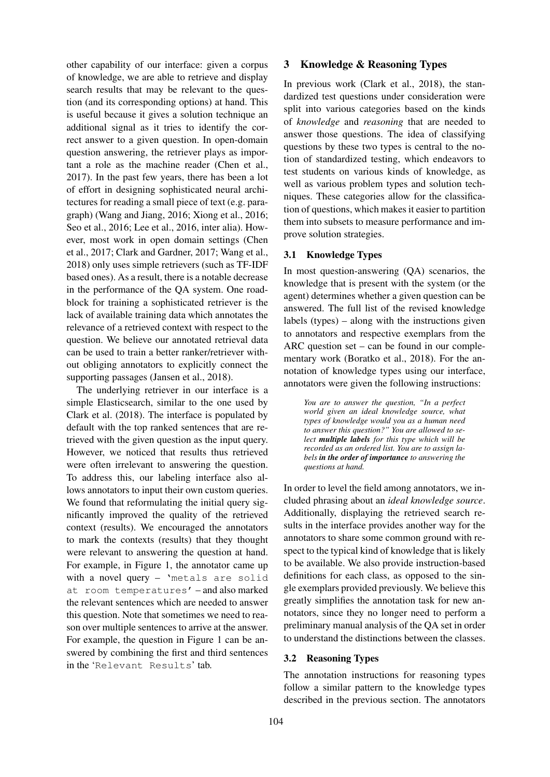other capability of our interface: given a corpus of knowledge, we are able to retrieve and display search results that may be relevant to the question (and its corresponding options) at hand. This is useful because it gives a solution technique an additional signal as it tries to identify the correct answer to a given question. In open-domain question answering, the retriever plays as important a role as the machine reader (Chen et al., 2017). In the past few years, there has been a lot of effort in designing sophisticated neural architectures for reading a small piece of text (e.g. paragraph) (Wang and Jiang, 2016; Xiong et al., 2016; Seo et al., 2016; Lee et al., 2016, inter alia). However, most work in open domain settings (Chen et al., 2017; Clark and Gardner, 2017; Wang et al., 2018) only uses simple retrievers (such as TF-IDF based ones). As a result, there is a notable decrease in the performance of the QA system. One roadblock for training a sophisticated retriever is the lack of available training data which annotates the relevance of a retrieved context with respect to the question. We believe our annotated retrieval data can be used to train a better ranker/retriever without obliging annotators to explicitly connect the supporting passages (Jansen et al., 2018).

The underlying retriever in our interface is a simple Elasticsearch, similar to the one used by Clark et al. (2018). The interface is populated by default with the top ranked sentences that are retrieved with the given question as the input query. However, we noticed that results thus retrieved were often irrelevant to answering the question. To address this, our labeling interface also allows annotators to input their own custom queries. We found that reformulating the initial query significantly improved the quality of the retrieved context (results). We encouraged the annotators to mark the contexts (results) that they thought were relevant to answering the question at hand. For example, in Figure 1, the annotator came up with a novel query – 'metals are solid at room temperatures' – and also marked the relevant sentences which are needed to answer this question. Note that sometimes we need to reason over multiple sentences to arrive at the answer. For example, the question in Figure 1 can be answered by combining the first and third sentences in the 'Relevant Results' tab.

#### 3 Knowledge & Reasoning Types

In previous work (Clark et al., 2018), the standardized test questions under consideration were split into various categories based on the kinds of *knowledge* and *reasoning* that are needed to answer those questions. The idea of classifying questions by these two types is central to the notion of standardized testing, which endeavors to test students on various kinds of knowledge, as well as various problem types and solution techniques. These categories allow for the classification of questions, which makes it easier to partition them into subsets to measure performance and improve solution strategies.

#### 3.1 Knowledge Types

In most question-answering (QA) scenarios, the knowledge that is present with the system (or the agent) determines whether a given question can be answered. The full list of the revised knowledge labels (types) – along with the instructions given to annotators and respective exemplars from the ARC question set – can be found in our complementary work (Boratko et al., 2018). For the annotation of knowledge types using our interface, annotators were given the following instructions:

*You are to answer the question, "In a perfect world given an ideal knowledge source, what types of knowledge would you as a human need to answer this question?" You are allowed to select multiple labels for this type which will be recorded as an ordered list. You are to assign labels in the order of importance to answering the questions at hand.*

In order to level the field among annotators, we included phrasing about an *ideal knowledge source*. Additionally, displaying the retrieved search results in the interface provides another way for the annotators to share some common ground with respect to the typical kind of knowledge that is likely to be available. We also provide instruction-based definitions for each class, as opposed to the single exemplars provided previously. We believe this greatly simplifies the annotation task for new annotators, since they no longer need to perform a preliminary manual analysis of the QA set in order to understand the distinctions between the classes.

#### 3.2 Reasoning Types

The annotation instructions for reasoning types follow a similar pattern to the knowledge types described in the previous section. The annotators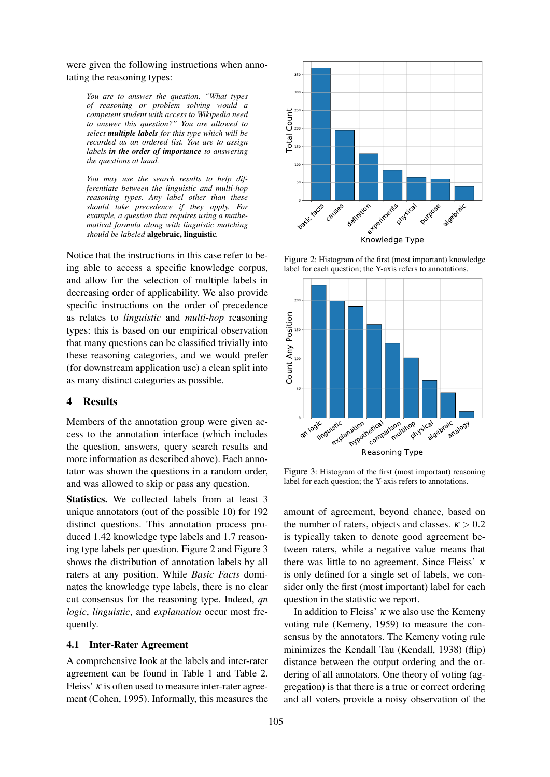were given the following instructions when annotating the reasoning types:

*You are to answer the question, "What types of reasoning or problem solving would a competent student with access to Wikipedia need to answer this question?" You are allowed to select multiple labels for this type which will be recorded as an ordered list. You are to assign labels in the order of importance to answering the questions at hand.*

*You may use the search results to help differentiate between the linguistic and multi-hop reasoning types. Any label other than these should take precedence if they apply. For example, a question that requires using a mathematical formula along with linguistic matching should be labeled* algebraic, linguistic*.*

Notice that the instructions in this case refer to being able to access a specific knowledge corpus, and allow for the selection of multiple labels in decreasing order of applicability. We also provide specific instructions on the order of precedence as relates to *linguistic* and *multi-hop* reasoning types: this is based on our empirical observation that many questions can be classified trivially into these reasoning categories, and we would prefer (for downstream application use) a clean split into as many distinct categories as possible. should take precedence (*f* they apply. For a should be the predicted apple in a quasitom and along with linguistic matches should be to access a specific kinguistic.<br>
Notice that the instructions in this case refer to be

## 4 Results

Members of the annotation group were given access to the annotation interface (which includes the question, answers, query search results and more information as described above). Each annotator was shown the questions in a random order, and was allowed to skip or pass any question.

Statistics. We collected labels from at least 3 unique annotators (out of the possible 10) for 192 distinct questions. This annotation process produced 1.42 knowledge type labels and 1.7 reasoning type labels per question. Figure 2 and Figure 3 shows the distribution of annotation labels by all raters at any position. While *Basic Facts* dominates the knowledge type labels, there is no clear cut consensus for the reasoning type. Indeed, *qn logic*, *linguistic*, and *explanation* occur most frequently.

#### 4.1 Inter-Rater Agreement

A comprehensive look at the labels and inter-rater agreement can be found in Table 1 and Table 2. Fleiss'  $\kappa$  is often used to measure inter-rater agree-



Figure 2: Histogram of the first (most important) knowledge label for each question; the Y-axis refers to annotations.



Figure 3: Histogram of the first (most important) reasoning label for each question; the Y-axis refers to annotations.

amount of agreement, beyond chance, based on the number of raters, objects and classes.  $\kappa > 0.2$ is typically taken to denote good agreement between raters, while a negative value means that there was little to no agreement. Since Fleiss'  $\kappa$ is only defined for a single set of labels, we consider only the first (most important) label for each question in the statistic we report.

In addition to Fleiss'  $\kappa$  we also use the Kemeny voting rule (Kemeny, 1959) to measure the consensus by the annotators. The Kemeny voting rule minimizes the Kendall Tau (Kendall, 1938) (flip) distance between the output ordering and the ordering of all annotators. One theory of voting (aggregation) is that there is a true or correct ordering and all voters provide a noisy observation of the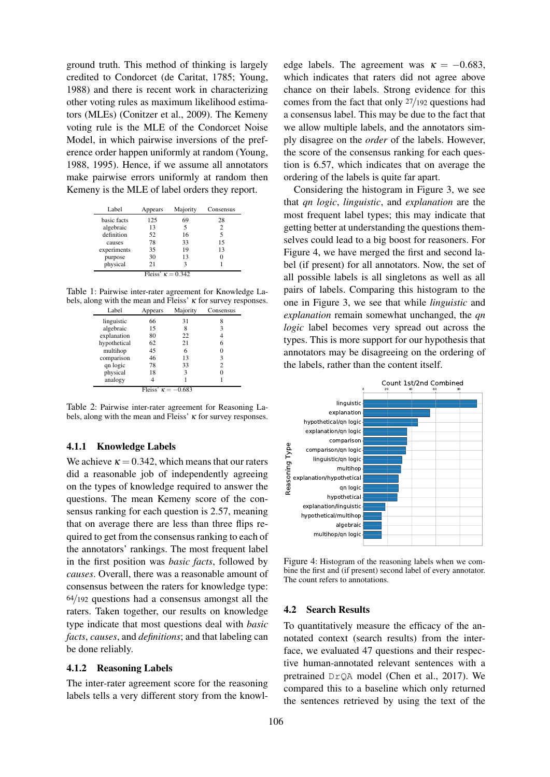ground truth. This method of thinking is largely credited to Condorcet (de Caritat, 1785; Young, 1988) and there is recent work in characterizing other voting rules as maximum likelihood estimators (MLEs) (Conitzer et al., 2009). The Kemeny voting rule is the MLE of the Condorcet Noise Model, in which pairwise inversions of the preference order happen uniformly at random (Young, 1988, 1995). Hence, if we assume all annotators make pairwise errors uniformly at random then Kemeny is the MLE of label orders they report.

| Label                    | Appears | Majority | Consensus      |
|--------------------------|---------|----------|----------------|
| basic facts              | 125     | 69       | 28             |
| algebraic                | 13      | 5        | $\overline{c}$ |
| definition               | 52      | 16       | 5              |
| causes                   | 78      | 33       | 15             |
| experiments              | 35      | 19       | 13             |
| purpose                  | 30      | 13       | 0              |
| physical                 | 21      | 3        |                |
| Fleiss' $\kappa = 0.342$ |         |          |                |

Table 1: Pairwise inter-rater agreement for Knowledge Labels, along with the mean and Fleiss'  $\kappa$  for survey responses.

| Label                     | Appears | Majority | Consensus |
|---------------------------|---------|----------|-----------|
| linguistic                | 66      | 31       |           |
| algebraic                 | 15      | 8        | 3         |
| explanation               | 80      | 22       |           |
| hypothetical              | 62      | 21       | 6         |
| multihop                  | 45      | 6        |           |
| comparison                | 46      | 13       | 3         |
| qn logic                  | 78      | 33       | 2         |
| physical                  | 18      | 3        |           |
| analogy                   |         |          |           |
| Fleiss' $\kappa = -0.683$ |         |          |           |

Table 2: Pairwise inter-rater agreement for Reasoning Labels, along with the mean and Fleiss'  $\kappa$  for survey responses.

### 4.1.1 Knowledge Labels

We achieve  $\kappa = 0.342$ , which means that our raters did a reasonable job of independently agreeing on the types of knowledge required to answer the questions. The mean Kemeny score of the consensus ranking for each question is 2.57, meaning that on average there are less than three flips required to get from the consensus ranking to each of the annotators' rankings. The most frequent label in the first position was *basic facts*, followed by *causes*. Overall, there was a reasonable amount of consensus between the raters for knowledge type: 64/192 questions had a consensus amongst all the raters. Taken together, our results on knowledge type indicate that most questions deal with *basic facts*, *causes*, and *definitions*; and that labeling can be done reliably.

#### 4.1.2 Reasoning Labels

The inter-rater agreement score for the reasoning labels tells a very different story from the knowl-

edge labels. The agreement was  $\kappa = -0.683$ , which indicates that raters did not agree above chance on their labels. Strong evidence for this comes from the fact that only 27/192 questions had a consensus label. This may be due to the fact that we allow multiple labels, and the annotators simply disagree on the *order* of the labels. However, the score of the consensus ranking for each question is 6.57, which indicates that on average the ordering of the labels is quite far apart.

Considering the histogram in Figure 3, we see that *qn logic*, *linguistic*, and *explanation* are the most frequent label types; this may indicate that getting better at understanding the questions themselves could lead to a big boost for reasoners. For Figure 4, we have merged the first and second label (if present) for all annotators. Now, the set of all possible labels is all singletons as well as all pairs of labels. Comparing this histogram to the one in Figure 3, we see that while *linguistic* and *explanation* remain somewhat unchanged, the *qn logic* label becomes very spread out across the types. This is more support for our hypothesis that annotators may be disagreeing on the ordering of the labels, rather than the content itself.



Figure 4: Histogram of the reasoning labels when we combine the first and (if present) second label of every annotator. The count refers to annotations.

#### 4.2 Search Results

To quantitatively measure the efficacy of the annotated context (search results) from the interface, we evaluated 47 questions and their respective human-annotated relevant sentences with a pretrained DrQA model (Chen et al., 2017). We compared this to a baseline which only returned the sentences retrieved by using the text of the